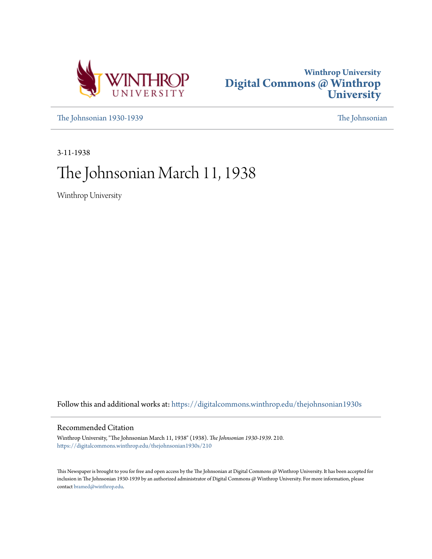



[The Johnsonian 1930-1939](https://digitalcommons.winthrop.edu/thejohnsonian1930s?utm_source=digitalcommons.winthrop.edu%2Fthejohnsonian1930s%2F210&utm_medium=PDF&utm_campaign=PDFCoverPages) [The Johnsonian](https://digitalcommons.winthrop.edu/thejohnsonian_newspaper?utm_source=digitalcommons.winthrop.edu%2Fthejohnsonian1930s%2F210&utm_medium=PDF&utm_campaign=PDFCoverPages)

3-11-1938

# The Johnsonian March 11, 1938

Winthrop University

Follow this and additional works at: [https://digitalcommons.winthrop.edu/thejohnsonian1930s](https://digitalcommons.winthrop.edu/thejohnsonian1930s?utm_source=digitalcommons.winthrop.edu%2Fthejohnsonian1930s%2F210&utm_medium=PDF&utm_campaign=PDFCoverPages)

# Recommended Citation

Winthrop University, "The Johnsonian March 11, 1938" (1938). *The Johnsonian 1930-1939*. 210. [https://digitalcommons.winthrop.edu/thejohnsonian1930s/210](https://digitalcommons.winthrop.edu/thejohnsonian1930s/210?utm_source=digitalcommons.winthrop.edu%2Fthejohnsonian1930s%2F210&utm_medium=PDF&utm_campaign=PDFCoverPages)

This Newspaper is brought to you for free and open access by the The Johnsonian at Digital Commons @ Winthrop University. It has been accepted for inclusion in The Johnsonian 1930-1939 by an authorized administrator of Digital Commons @ Winthrop University. For more information, please contact [bramed@winthrop.edu](mailto:bramed@winthrop.edu).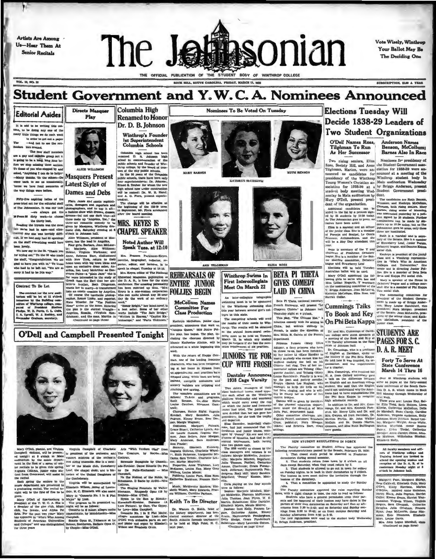Artists Are Among Us-Hear Them At **Senior Recitals** 



THE OFFICIAL PUBLICATION OF THE STUDENT BODY OF WINTHROP COLLEGE ROCK HILL, SOUTH CAROLINA, FRIDAY, MARCH 11, 1888

Vote Wisely, Winthrop Your Ballot May Be The Deciding One

**SUBSCRIPTION, SLAD & THAN** 

## **Student Government and Y.W.C.A. Nominees Announced** Columbia High Nominees To Be Voted On Tuesday Directs Mu

**MARY BARNES** 

# **Editorial Asides**

**VOL. 18, NO. 18** 

It is odd to be writing this o umn, to be doing any one of the in order to get out a paper -and not to see the ne re fors pround.<br>The new staff men

The new start members of a gap and capable group bot it.<br>Is going to be a long, long time before we stop minimig throws of your who stopped by and<br>The we stop minimig throws estions.<br>The shead "Angthing I can do to holder" se we have fond memories way things were before.



ALICE WILLIMON

**Latest Styles of** Dames and Debs

Fifty-five angieles indices of the prince and the prior of the name of the same interest and the state of The Shannes in the state of The Shannes and The Shannes and The Shannes of The Shannes and The Shannes and The Shan

**O'Dell and Campbell Presented Tonight** 



Masquers Present

# In the 50 years of the Columbia<br>public schools, there have been only<br>four superintendents: Dr. Johnson;<br>Ernest S. Dreher. for whom the new high school now under construction will be named: Dr. W. H. Hand and A. C. Flora, present superin

tendent.<br>The change will be effective a<br>the beginning of the 128-39 tem<br>In September, Mr. Flora announce

**Renamed to Honor** 

Dr. D. B. Johnson

Winthrop's Founde

1st Superintendent<br>Columbia Schools

renamed D. B. Johnson mass<br>school in commenceation of the<br>public schools and founder of Win<br>throp college, by the board of trus

ees of the city public sel<br>In the 50 years of the

umbia high school has been<br>sed D. B. Johnson high

# **CHAPEL SPEAKER**

From the state in the specific state of the specific state of the specific state of the state of the state of the state of the state of the state of the state of the state of the state of the state of the state of the sta **REHEARSALS OF ENTIRE JUNIOR FOLLIES BEGIN** 





An inter-collegiate telegraph An inter-collection teleprophe del a Pi Theta, national henorary eliteric Culler.<br>
The Winther reserves to be approposed Beta Pi Theta, national henorary eliteric culler<br>
the the Winther avevent girl's col-<br>
Cummings Talk

thus performance of the metals will be obtained that a second Hall, a subsequently a set of the competitive schedule and the results of the competitive schedule is a set of the competitive schedule in the competitive sched

The Peacity committee on Student Affairs, has approved by<br>virtue precommendations passed by the Senate, Pebruary 23, 160<br>downtaries during precide to chose ratio period be observed in Prushman<br>dominaties during second sen

This. The Paculty committee approved the rules reporting film<br>date, with a slight change in time, the rule to read as follows:<br>Similarly Similarly committee parameter parameter parameter and this approves on the superpara

# **Elections Tuesday Will** Decide 1838-29 Leaders of **Two Student Organizations** Anderson Names<br>Benson, McCollu

O'Dell Names Ross, Tilghman To Run<br>As Her Successor

**Barnes Also In Race** Nominees for presidency of Two rising seniors, Eliza

Two rising seniors, Eliza Nominees for presidency of Ross, Society Hill, and Anne the Student Government associated Tulyhman, Marion, were an-iclation for 1938-39 were announced as ancelidates for incomed at a meeting of

sociation for 1193-30 and the 16y principle accounts are a more than the selection and the matrix and the matrix and the selection of the original and the matrix and the selection of the selection and the selection of the

All faculty members and officers of Winthrop college and Training School are invited to recylins of the D. A. R. of the conference Members conference Members of the D. A. R. of the official of the original of the original



the recital.<br>
The recital spectrum is a mass and the function of the Undeled Damphiers of C<br>
member dependence are presented in University Wilson, jumber dependence<br>
number dependence are presented in Elizabeth Wilson, ju

# EXIDENTS ARCHIVE ARE IN THE PROSESS CAR IN THIS IS a set of the same of the same of the same of the same of the same of the same of the same of the same of the same of the same of the same of the same of the same of the s

McCollum Names Committee For<br>Class Production

Kathryn McCollum, junior class

resident, announces that work on

is and agrees that is presented to the profession of the conference in the season between the season of the benefit of the seales to the line of the seales of the benefit is and a season of the seales of the seales of the

**PLIZA ROSS BETA PI THETA** Winthrop Swims In **First Intercollegiate GIVES COMEDY** Meet On March 22 **LAID IN CHINA**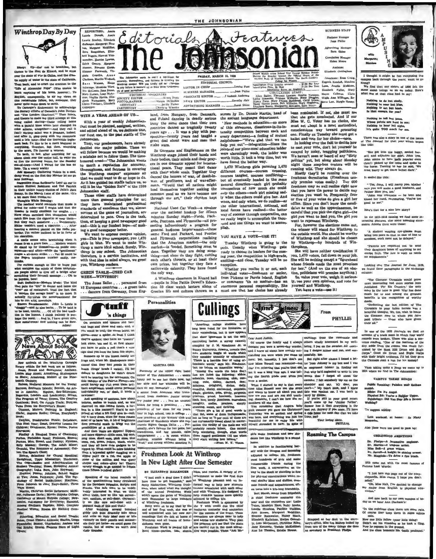Winthrop Day By Day



hence to the Hall de Minard, and to must<br>rer the state of war in China, and the drassply of water in the state of California ck, and to avert the cranium to the<br>Alexander Pops" (Was unable to "Life of Alexan m anything of his loves, however; To expenses on now sevel, nowever, To<br>an, commoquently, to air my views on<br>remarkable fellow, but, somehow, they<br>quite came down to earth.

To Carnegie's Endowment to acknow<br>he literary efforts of Canada's John Bo the literary efferts of Canada's John Buchini, and the main state and the<br>resonance and the control of the control of the control of the control<br>of the control of the control of the state of the state of the<br>state of the

and the state of the state of the sea and the state of the state of the state of the state of the state of the state of the state of the state of the state of the state of the state of the state of the state of the state o

footwear.<br>**agention From Scribner's:** Lend an ear to<br>ars Hubbell Rebinson and Ted Patrick<br>helr unique interpretation of Jello's Jack<br>ny, in the March i suse of the same. (It's hit m

more than medio.ve.)<br>aghts While Sunning:

The reedical world contends that music is<br>trand for colds-and I might add that the he median world content on<br>the first nume is a match of red content in relative couples.<br>And for colds-and I might add that the set is religivered<br>in for compared that contents would have the first property content<br>in the

his ameniton.<br>
a multi-norms more brwitching when it and somes from a grave income.....Modern we<br>should do shand up for themselves-in public convergances-and after-while the "gentleman"<br>stages a sit-down strike...........

thinks.<br>The turious enough to like to know just<br>what occupies the minds of these unfortunate propie about to dive off a bridge after<br>scratching their farrwell message . . . Oh to

ionne<br>
inguist here!<br>
alt Definition—Modern Mesle: The kind<br>
is puth the "dir" in dianer and takes the<br>
is puth the "direct fraction" in the fact that<br>
so more. It<br>
condities the accompaniment for<br>
""thinks the accompanime

est" ont of restaurant (And the fact that is control. The formula transfer beautiful to a more. It is control. The accompaniment for the simulation of the state of the state of the parameter  $\frac{1}{2}$  which is the paramet



arrivals at the Winthrep Carnegie arrivals at the wanning camegor<br>shihin the last week are as follows.<br>New Alcott; Armstrong, Shakespeare<br>Nay Alcott; Armstrong, Shakespeare<br>#; Armstrong, Makers of the Nine**ba** 34 ፝፟፟፟

nany; Arme<br>(ik Century;<br>abom, Modis ral Manners for the Young; Rabess, Medium Manamy for the Young<br>Rarveys, Sovitann Lalandy, Benton, An Art-<br>Rarveys, Sovitann Lalandy, Senton, An Art-<br>Rarveys, Sovitann Lalandy, Ser-Education; Reparting Lendon<br>Reparting Lendon, Landon Lendon<br>Rabess, B

sh, Freshyterian Pirate; DeLaMare,<br>ut Year; Doust, Drawing Lessons for titch, Pre

M;<br>Perhidden Road; Frehman, Encore;<br>Perhidden Road; Frehman, Encore;<br>Man, Bread, and Destiny; Fylcman,<br>Konkry; George, The Adult Micor;<br>A, The Romance of Astronomy; Gul-Forbidine  $1.756B$ 

Orondal, Tre Rosamere of Azirenomy; Gui-Banam, Shekhan, Tre Rosami, Shekhan, Ing Chann, Shekhan, Ing Channel Bandari Tre Organization of Annual Bandari Tre Organization of Annual Bandari Tre Channel Bandari Tre Channel Ban

Home; McMinister (McMinister McMinister (McMinister College, 1981)<br>Ifaraon Davis;; Moruti Holyola College, 1989–1981<br>Asia onomy for Kweyelon College; 1989–1981<br>; doulisern Baptista; 11187, Complete<br>; doulisern Baptista; 11

ng, Education and Secial Trends;<br>vet Historic Animals; Starkia, Luigo<br>c: Stoney, Charleston; Analesa and

**REPORTERS: Annie<br>Laurie Donald, Annie<br>Laurie Sturkey, Elizabeth** Editorials Laurie Sturkey, Elizabeth<br>Ballenger, Margarque Blan-<br>ten, Margarque MeMillan, The Johnsoni ton, Margaret McMillion,<br>Sara Roogen, Harriet Wan-<br>best Rogers, Harriet Wan-<br>namaker, Harriet Karnet<br>Eleanor Fasworth, Viergaret<br>Eleanor Fasworth, Viergaret<br>Eleanor Fasworth, Viergaret<br>Eleanor Fasworth, Viergaret Edith G

Elizaber Francusch, When **The School and School and School and School and School and School and School and School and School and School and School and School and School and School and School and School and School and Scho** 

PHOTOGRAPHER<br>ASSISTANT<br>CARTOONIST Culpepper.

## WITH A YEAR AHEAD OF US-

With a year of weekly Johnsonian. riture is you and the planned, and edited ahead of us, we dedicate thus, our first one, to the past staffs of The Job

They, our predecessors, have already<br>decided our major policies. These we<br>will follow because we would be making a mistake not to follow them. The time -"The Johns honored creed sonian want to merit a reputation for accuracy, to meant a separation and calculate in covering<br>the Winthrop campus" expresses all<br>that we could want to do or hope to do. As it has guided ten staffs before us, so<br>will it be the "Golden Ru's" of the 1938 Johnsonian staff.

Those other staffs have determined anse once statis include for us;<br>they have maintained professional standards of excellence that we, almost novices at the game of journalism, are<br>determined to pace. Ours is the task, celement to pace. Consequence and then, of keeping a good newspaper good<br>and this is our fondest hope-of making a good newspaper better.<br>We want to express campus opinion,

yes-This is your newspaper, you 1,470 girls in blue. We want to make Winthrop a more ideal school. Surely, Winthrop is our sehool. The Johnson's were<br>therefore, is a service institution, and<br>with that idea in mind always, we greet you, Winthrop readers.

### **GREEN TABLE-USED CAR** WEEK-WINTHROP!

The Joses Ballet . . . personnel from 12 European countries . . . a green table<br>. . . dancers from Germany, from Engtion 59 class watch lantern slides of<br>Grecian life and culture thrown on a

Speaking of the latest reminds us<br>the questionnaires being circulated<br>the Davidson magazine, Scripts and<br>canks. The lade seem to be veddy<br>ddy interested in what we think Praching The Index second to use veckly, the<br>strained in which we think we chiral and the strain in the tem nervel.<br>All model in the strain increase that we chiral model and the strain per well-dense. (Nermonal-begrave<br>an

ta, but of cour



the only way.

BY TLIZABETII BALLENGER | hikes, and rowins. A wardey of en-<br>That start is the Same of the 1 didn't terminater to make the first day<br> $\eta$  in the first dependent of the first dependent of<br> $\eta$  is the high party interaction

EDITORIAL COUNCIL

**BUSINESS MANAGER** 

countries unneen so trage and the specific spectro-spectro-twenty years had taught a

So Germans and Englishmen on the

Winthrop stage joined their bands and their bodies, their minds and their pray-

their bodies, their minds and their pray-<br>ers in one dramatic appeal for interna-<br>tional peace. They meant that dance<br>tional peace. They meant that dance<br>which their wholes outs,  $\alpha$  gradies<br>where, of profiteers, and of w

National Used Car Week-a speaker

National Used Car Week--a speaker<br>over the national hookup for fifteen minutes Sunday night-Pords, Pack-<br>ards, Pontines, and Plymouths--all pro-<br>ards, Pontines, and Plymouths--all pro-<br>mediag harmonically a program for ge

same Plymouth corporations realizing<br>that the American market-the only<br>market-is 'looded. Something must be

wide calamity. They have found

A Winthrop classroom in Kinard hall<br>-pupils in Miss Pattie Dowell's Educa-

*wake* wars.

saving.

THE JOHNSONIAN

land, from Hungary, from Denmark,

screen hy Dr. Donnis Martin, head of the ancient languages department. and Poland dancing in deadly across

the ancient languages or<br>parameters in comparison of this strenuous, diasatrous-in-its-in-<br>of this strenuous, diasatrous-in-its-in-<br>terminity competition between each available every department—a feeling of mutual<br>help yo were alarmingly weak, the ladder was worth little. It took a jong time, but we have found the better way.

1,470 Winthrop girls pursuing 1,470 different courses courses crossing,<br>courses tangled, courses conflicting-<br>but all eventually headed in the same general direction general direction-each girl probably<br>unconscious of how much she could<br>uely the others-each girl missing sad-<br>ly what the others could give her. And when, and only when, we do realize-as local forces have realized-the better way of success through cooperation, can<br>we really begin to accomplish the thousand and one things we want to accom

YOU HAVE A VOTE-USE IT!

These Winthrop is going to the pula. Usually when Winthrop gets ready to choose its leaders for the community in the community of the community of the community of excelling weak of the reading section is high-grade, exception Whether you realize it or not, e

individual voter-freshman or senior,<br>from Pickens or Parris Island, English<br>or commerce 'tis no matter-bas an or commerce us no masser-pas an<br>enormous personal responsibility. She<br>must see that her choice has already



Winthrop College

Featuress

ugrula Kendall, M. NCLL<br>
Leulse Fant Suberrigina Pree (recular sections) .<br>
Leulse Fant Suberrigina Pree, By Hall<br>
Mirrethine Rates as Applets<br>
Fincence Lawison, Aind - \$1.00 Per Year Lunn, Amelia Moldrow,<br>Eluzabeth Fuller, Mary<br>Hayes Calhoun, Clara<br>Webh, Ann Willings, Se-Luma,<br>Luma,<br>Eluzab Meris Lott, Margie Denny

> been nominated. If not, she mu that she gets nominated. And if our Mias W. C. Voter has no choice, she must set shout in a most methodical, conscientious way toward procuring<br>one. Finally on Tuesday she must get a<br>ballot and vote for her choice—once.

> ballot and vote for her choice-once.<br>
> In looking over the field to decide how<br>
> to cast your vote, don't let yourself be<br>
> swayed by noisy, bragging politicians.<br>
> We haven't seen or heard of any "dirty ve a mavoit seem or mearu or any "dinday politics" yet, but along about Monday<br>night these soap-box orators will be<br>running wild. They always do.

Mostly they'll be running over the<br>freshman dormitories. (Freshmen usu-<br>ally promise votes easily...) You 600<br>mail molecules and molecules and now any promises votes easily. You contained the theorem that you have the power to decide any election you want to. Frequently four or five of your votes do give a girl her<br>office. Since you don't know the candidates as well as the upperclassmen, be<br>careful that you pick the right girl-the girl you want to lead you, the girl you want to represent Winthrop.

want to represent wintarny,<br>the elections come out, the winner will stand for Winthrop to<br>the outside world. She should be worthy<br>of Winthrop and she should be under<br>by Winthrop—by hundreds of Winthropians

She will have neither qualification if see will have netture questions rout it?<br>She will be nothing except a "figure head<br>whose friends made the most promises

whose friends made the most promises the<br>for her." (And on the eve of an election, politicians will promise anything.)<br>So, value your vote, weigh it serious.<br>So, value your vote, weigh it serious.<br>y, use your own opinions,

You have a vote-use it!



mon friends and acquaintance

tatul p. Bert Marsh, senior from Edgediaid, Bert Marsh, senior from EquelBest, the<br>space and the commenter this relation of the comments are: Leal<br>the relation of the comments are: Leading Marsh, Lucille Rivertes, Pagnity Melch,<br>Lucille Rivertes, Pagnity Walding, An to Kennedy, Tootsie McKo

Advertising Manage<br>Sara Shies Corolation Manager **Helen** Moore Avaiatan

**BUSINESS STAFF** 

stes: Rose Cr.

I thought it might be fun campusing the campus back through the years; want to go<br>along?<br>We find that our nisters of 1995 felt the same about tnings as we do today. Here's

mac.

'n

*Margaret* 

Nothing to do but sindy,<br>Nothing to wear but blue.<br>Mojhing to out but hand,<br>In that cuough for you?

Nothing to tell but jobs<br>Where peints are hard to<br>Nothing to hear but signation and the nt la sea

There was also a story in one of the issues

"She got into the buggy, assted ber-<br>self, and adjuded her skirt. John type, sohn neems to have heeln popular even<br>then! please up the refera and spoke to the thin in please up the role and spoke the<br>then is the horse. Tu

It ended like this:

 $^\circ$ 'Yes, John, I will marry you. Mother says you will make a good hunband, and Falker likes you, too.<br>''John was overcome — he bent and ''John was overcome — he bent and kissed her hand, murmering, 'You've too

seed to me'."

How's that for a nice love story?

In the 1915-1916 catalog we find some interesting pictures, also some amusing state<br>ments. Among them were these:

A student wearing eye-glasses<br>bring two pairs so that in case of<br>accident, work need not be delayer

"Parents are requested not to send<br>heir daughters boxes of anything to ea<br>xcept fruit. The fare is such as needs no supples

Looking over The Journal for June, 1939,<br>we found these paragraphs in the exchange

"The Clemeon Chronicle would prove more interesting had more stories been<br>published. "For itis Country," the only stary in the taute is good. War has done<br>much for us and among the greatest<br>benefits is the recognition of

deeds.<br>The description is the last edition of The<br>Chronicle to your failen heroes was a<br>beautiful thought. We, too, wish to houtor<br>the Clienson men to whoin you have<br>paid tribute -- those who have given

In one of the 1920 Journals we find an account of a track meet in which four world<br>records were broken. There was also a sentence reading. "One of the features of the

troop reasons, "one on tas seatures or tree state functions of the absent and place of the state Rood calc function and Blagk Corpa." Cood calc Drum and Blagk Corpa:<br>with their bright uniforms. Til bet they gave the Clemag

Then taking quite a jump we come up to<br>124 where we find in The Johnsonian:

CAMPUS THEME SONGS

Public Speaking: Pabdon mah Sathu

annes apassant : rasson man seurer<br>Biblet Fm Ne Angel.<br>Flyslod Ed: Yea're a Bullder Upper.<br>Flysloduzy: Did Yea floyr Ble a Dream

Last weekend, at home: So Many

Also these were too enod to pass un:

CRITAROOD AMERICANS

Dr. Phelps-A lecemelye englessr.<br>Dr. Martin-A tragese artici.<br>Miss Bell-A tragese artici.<br>Miss Bell-A knight is shelog arms<br>Mr. Magglois-To drive a fire truck.

1915 came out with the most famous of

"I just tore this page out of the ency-<br>lopacella, Miss Dacus. I hope you don't

"Ob, hiles Hall, I've decided to change<br>my major from English to physical edu-

And now beck to our own campus of to-"In the putrition class there are son<br>Of course they keep them in cases

ents.<br>Now one little fallow (poor little thing)<br>Didn't eat his vitamins so he took a fling

Now he reposes in the ground, and the class bemonne his death medium-

We suggest adding

mind."

ed at her desk in the se

d up

as Iva Bi

m one of the many things she

rv's off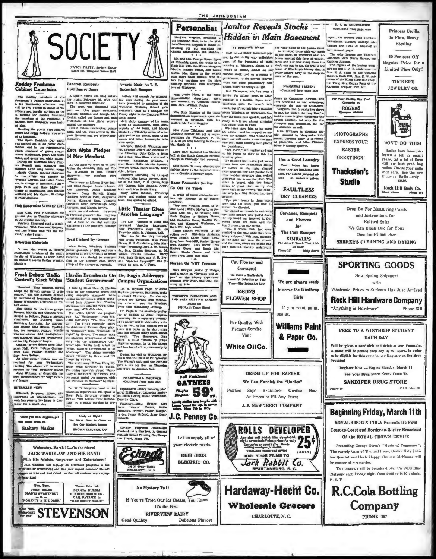